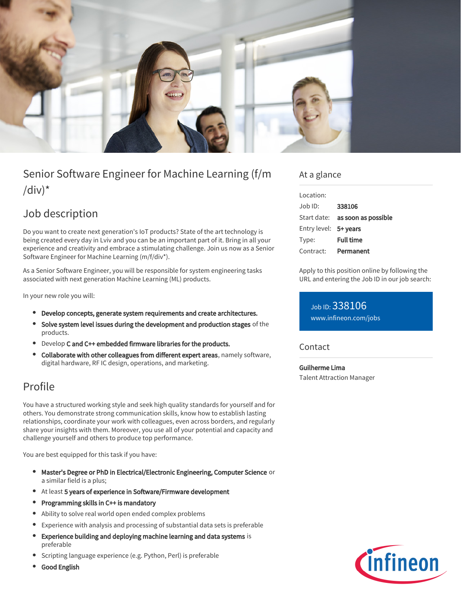

# Senior Software Engineer for Machine Learning (f/m /div) $*$

## Job description

Do you want to create next generation's IoT products? State of the art technology is being created every day in Lviv and you can be an important part of it. Bring in all your experience and creativity and embrace a stimulating challenge. Join us now as a Senior Software Engineer for Machine Learning (m/f/div\*).

As a Senior Software Engineer, you will be responsible for system engineering tasks associated with next generation Machine Learning (ML) products.

In your new role you will:

- Develop concepts, generate system requirements and create architectures.
- Solve system level issues during the development and production stages of the products.
- **•** Develop C and C++ embedded firmware libraries for the products.
- Collaborate with other colleagues from different expert areas, namely software,  $\bullet$ digital hardware, RF IC design, operations, and marketing.

### Profile

You have a structured working style and seek high quality standards for yourself and for others. You demonstrate strong communication skills, know how to establish lasting relationships, coordinate your work with colleagues, even across borders, and regularly share your insights with them. Moreover, you use all of your potential and capacity and challenge yourself and others to produce top performance.

You are best equipped for this task if you have:

- Master's Degree or PhD in Electrical/Electronic Engineering, Computer Science or a similar field is a plus;
- At least 5 years of experience in Software/Firmware development
- $\bullet$ Programming skills in C++ is mandatory
- Ability to solve real world open ended complex problems
- Experience with analysis and processing of substantial data sets is preferable  $\bullet$
- Experience building and deploying machine learning and data systems is  $\bullet$ preferable
- Scripting language experience (e.g. Python, Perl) is preferable
- Good English

### At a glance

| Location:             |                                 |
|-----------------------|---------------------------------|
| $Joh$ ID:             | 338106                          |
|                       | Start date: as soon as possible |
| Entry level: 5+ years |                                 |
| Type:                 | <b>Full time</b>                |
| Contract:             | Permanent                       |

Apply to this position online by following the URL and entering the Job ID in our job search:

Job ID: 338106 [www.infineon.com/jobs](https://www.infineon.com/jobs)

**Contact** 

Guilherme Lima Talent Attraction Manager